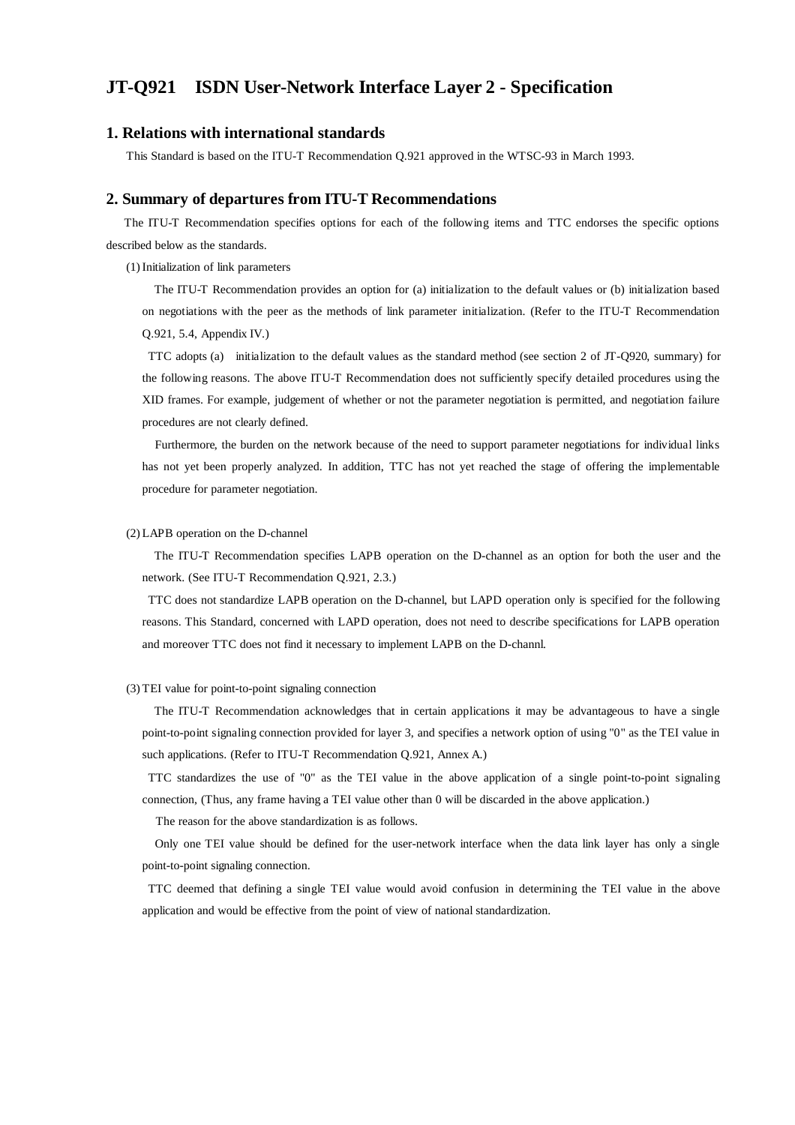## **JT-Q921 ISDN User-Network Interface Layer 2 - Specification**

### **1. Relations with international standards**

This Standard is based on the ITU-T Recommendation Q.921 approved in the WTSC-93 in March 1993.

### **2. Summary of departures from ITU-T Recommendations**

 The ITU-T Recommendation specifies options for each of the following items and TTC endorses the specific options described below as the standards.

(1) Initialization of link parameters

 The ITU-T Recommendation provides an option for (a) initialization to the default values or (b) initialization based on negotiations with the peer as the methods of link parameter initialization. (Refer to the ITU-T Recommendation Q.921, 5.4, Appendix IV.)

 TTC adopts (a) initialization to the default values as the standard method (see section 2 of JT-Q920, summary) for the following reasons. The above ITU-T Recommendation does not sufficiently specify detailed procedures using the XID frames. For example, judgement of whether or not the parameter negotiation is permitted, and negotiation failure procedures are not clearly defined.

 Furthermore, the burden on the network because of the need to support parameter negotiations for individual links has not yet been properly analyzed. In addition, TTC has not yet reached the stage of offering the implementable procedure for parameter negotiation.

#### (2) LAPB operation on the D-channel

 The ITU-T Recommendation specifies LAPB operation on the D-channel as an option for both the user and the network. (See ITU-T Recommendation Q.921, 2.3.)

 TTC does not standardize LAPB operation on the D-channel, but LAPD operation only is specified for the following reasons. This Standard, concerned with LAPD operation, does not need to describe specifications for LAPB operation and moreover TTC does not find it necessary to implement LAPB on the D-channl.

#### (3) TEI value for point-to-point signaling connection

 The ITU-T Recommendation acknowledges that in certain applications it may be advantageous to have a single point-to-point signaling connection provided for layer 3, and specifies a network option of using "0" as the TEI value in such applications. (Refer to ITU-T Recommendation Q.921, Annex A.)

 TTC standardizes the use of "0" as the TEI value in the above application of a single point-to-point signaling connection, (Thus, any frame having a TEI value other than 0 will be discarded in the above application.)

The reason for the above standardization is as follows.

 Only one TEI value should be defined for the user-network interface when the data link layer has only a single point-to-point signaling connection.

 TTC deemed that defining a single TEI value would avoid confusion in determining the TEI value in the above application and would be effective from the point of view of national standardization.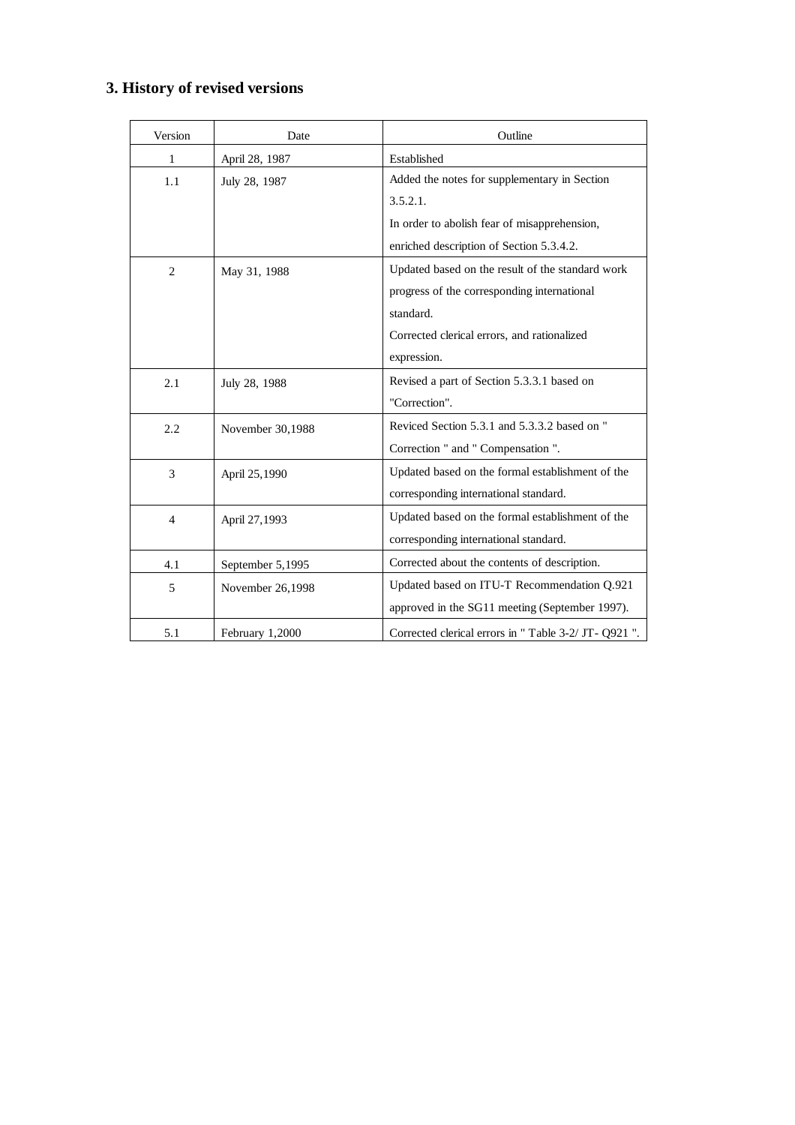# **3. History of revised versions**

| Version        | Date             | Outline                                           |
|----------------|------------------|---------------------------------------------------|
| 1              | April 28, 1987   | Established                                       |
| 1.1            | July 28, 1987    | Added the notes for supplementary in Section      |
|                |                  | 3.5.2.1.                                          |
|                |                  | In order to abolish fear of misapprehension,      |
|                |                  | enriched description of Section 5.3.4.2.          |
| $\overline{2}$ | May 31, 1988     | Updated based on the result of the standard work  |
|                |                  | progress of the corresponding international       |
|                |                  | standard.                                         |
|                |                  | Corrected clerical errors, and rationalized       |
|                |                  | expression.                                       |
| 2.1            | July 28, 1988    | Revised a part of Section 5.3.3.1 based on        |
|                |                  | "Correction".                                     |
| 2.2            | November 30,1988 | Reviced Section 5.3.1 and 5.3.3.2 based on "      |
|                |                  | Correction " and " Compensation ".                |
| 3              | April 25,1990    | Updated based on the formal establishment of the  |
|                |                  | corresponding international standard.             |
| $\overline{4}$ | April 27,1993    | Updated based on the formal establishment of the  |
|                |                  | corresponding international standard.             |
| 4.1            | September 5,1995 | Corrected about the contents of description.      |
| 5              | November 26,1998 | Updated based on ITU-T Recommendation Q.921       |
|                |                  | approved in the SG11 meeting (September 1997).    |
| 5.1            | February 1,2000  | Corrected clerical errors in "Table 3-2/JT-Q921". |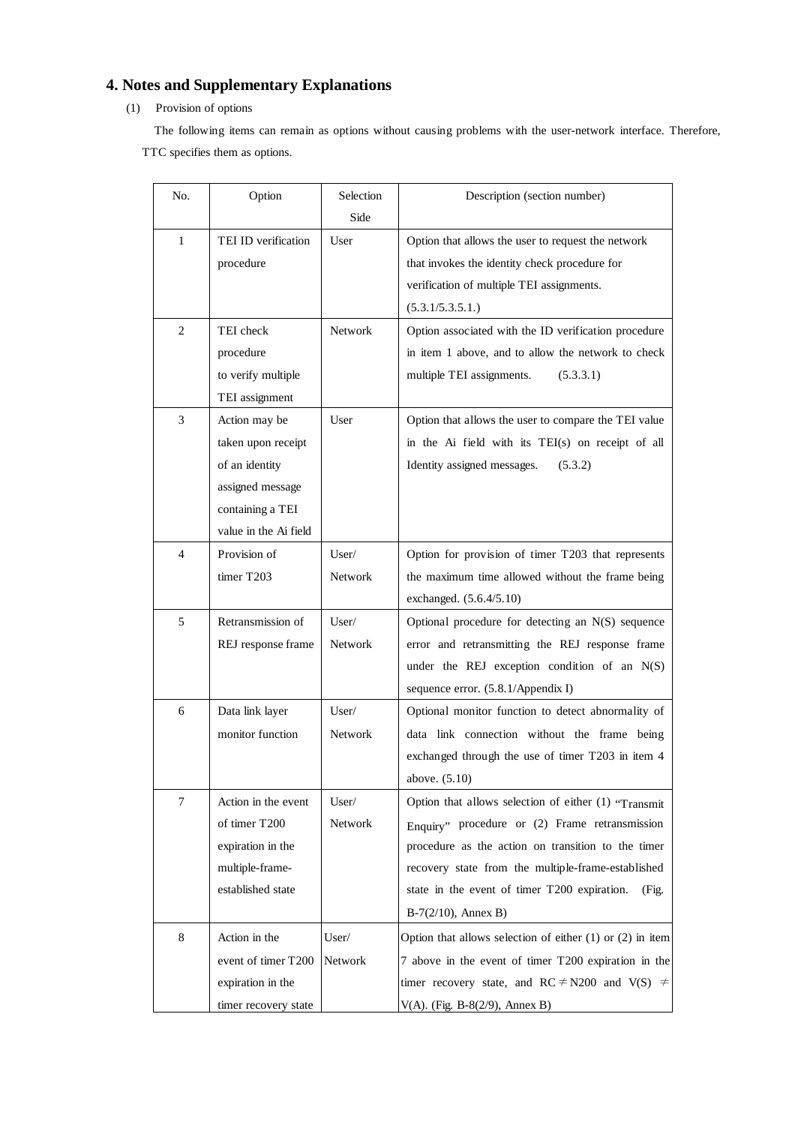# **4. Notes and Supplementary Explanations**

## (1) Provision of options

 The following items can remain as options without causing problems with the user-network interface. Therefore, TTC specifies them as options.

| No.            | Option                | Selection      | Description (section number)                                  |
|----------------|-----------------------|----------------|---------------------------------------------------------------|
|                |                       | Side           |                                                               |
| 1              | TEI ID verification   | User           | Option that allows the user to request the network            |
|                | procedure             |                | that invokes the identity check procedure for                 |
|                |                       |                | verification of multiple TEI assignments.                     |
|                |                       |                | (5.3.1/5.3.5.1.)                                              |
| $\overline{2}$ | TEI check             | Network        | Option associated with the ID verification procedure          |
|                | procedure             |                | in item 1 above, and to allow the network to check            |
|                | to verify multiple    |                | multiple TEI assignments.<br>(5.3.3.1)                        |
|                | TEI assignment        |                |                                                               |
| 3              | Action may be         | User           | Option that allows the user to compare the TEI value          |
|                | taken upon receipt    |                | in the Ai field with its TEI(s) on receipt of all             |
|                | of an identity        |                | Identity assigned messages.<br>(5.3.2)                        |
|                | assigned message      |                |                                                               |
|                | containing a TEI      |                |                                                               |
|                | value in the Ai field |                |                                                               |
| 4              | Provision of          | User/          | Option for provision of timer T203 that represents            |
|                | timer T203            | Network        | the maximum time allowed without the frame being              |
|                |                       |                | exchanged. (5.6.4/5.10)                                       |
| 5              | Retransmission of     | User/          | Optional procedure for detecting an N(S) sequence             |
|                | REJ response frame    | <b>Network</b> | error and retransmitting the REJ response frame               |
|                |                       |                | under the REJ exception condition of an N(S)                  |
|                |                       |                | sequence error. (5.8.1/Appendix I)                            |
| 6              | Data link layer       | User/          | Optional monitor function to detect abnormality of            |
|                | monitor function      | <b>Network</b> | data link connection without the frame being                  |
|                |                       |                | exchanged through the use of timer T203 in item 4             |
|                |                       |                | above. (5.10)                                                 |
| 7              | Action in the event   | User/          | Option that allows selection of either $(1)$ "Transmit"       |
|                | of timer T200         | Network        | Enquiry" procedure or (2) Frame retransmission                |
|                | expiration in the     |                | procedure as the action on transition to the timer            |
|                | multiple-frame-       |                | recovery state from the multiple-frame-established            |
|                | established state     |                | state in the event of timer T200 expiration.<br>(Fig.         |
|                |                       |                | $B-7(2/10)$ , Annex B)                                        |
| 8              | Action in the         | User/          | Option that allows selection of either $(1)$ or $(2)$ in item |
|                | event of timer T200   | Network        | 7 above in the event of timer T200 expiration in the          |
|                | expiration in the     |                | timer recovery state, and RC $\neq$ N200 and V(S) $\neq$      |
|                | timer recovery state  |                | V(A). (Fig. B-8(2/9), Annex B)                                |